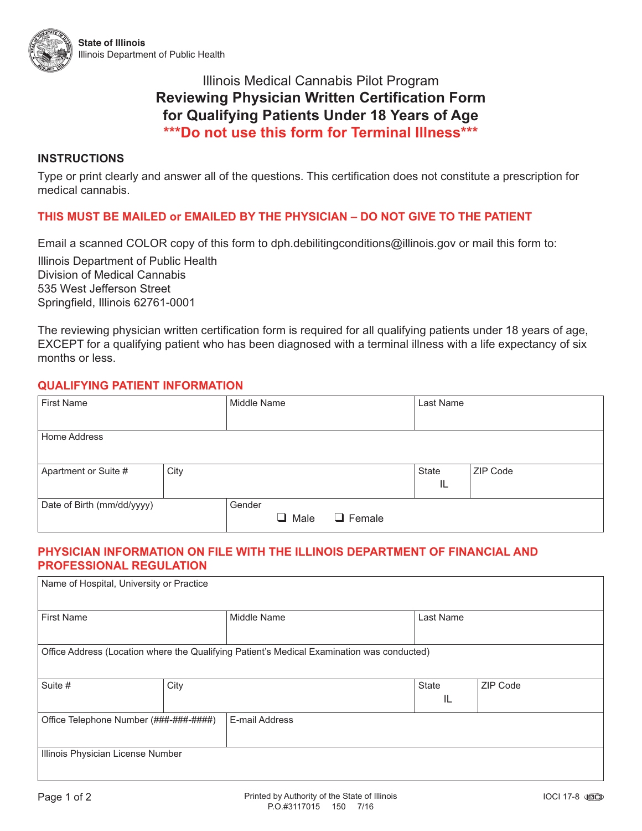

## Illinois Medical Cannabis Pilot Program **Reviewing Physician Written Certification Form for Qualifying Patients Under 18 Years of Age \*\*\*Do not use this form for Terminal Illness\*\*\***

#### **INSTRUCTIONS**

Type or print clearly and answer all of the questions. This certification does not constitute a prescription for medical cannabis.

### **THIS MUST BE MAILED or EMAILED BY THE PHYSICIAN – DO NOT GIVE TO THE PATIENT**

Email a scanned COLOR copy of this form to [dph.debilitingconditions@illinois.gov](mailto:dph.debilitingconditions@illinois.gov) or mail this form to:

Illinois Department of Public Health Division of Medical Cannabis 535 West Jefferson Street Springfield, Illinois 62761-0001

The reviewing physician written certification form is required for all qualifying patients under 18 years of age, EXCEPT for a qualifying patient who has been diagnosed with a terminal illness with a life expectancy of six months or less.

#### **QUALIFYING PATIENT INFORMATION**

| <b>First Name</b>          |      | Middle Name |           |               | Last Name   |          |
|----------------------------|------|-------------|-----------|---------------|-------------|----------|
| Home Address               |      |             |           |               |             |          |
| Apartment or Suite #       | City |             |           |               | State<br>IL | ZIP Code |
| Date of Birth (mm/dd/yyyy) |      | Gender      | Male<br>ப | $\Box$ Female |             |          |

#### **PHYSICIAN INFORMATION ON FILE WITH THE ILLINOIS DEPARTMENT OF FINANCIAL AND PROFESSIONAL REGULATION**

| Name of Hospital, University or Practice                                                   |      |                    |  |                    |          |  |  |  |  |
|--------------------------------------------------------------------------------------------|------|--------------------|--|--------------------|----------|--|--|--|--|
| <b>First Name</b>                                                                          |      | <b>Middle Name</b> |  | Last Name          |          |  |  |  |  |
| Office Address (Location where the Qualifying Patient's Medical Examination was conducted) |      |                    |  |                    |          |  |  |  |  |
| Suite #                                                                                    | City |                    |  | <b>State</b><br>IL | ZIP Code |  |  |  |  |
| Office Telephone Number (###-###-####)                                                     |      | E-mail Address     |  |                    |          |  |  |  |  |
| Illinois Physician License Number                                                          |      |                    |  |                    |          |  |  |  |  |